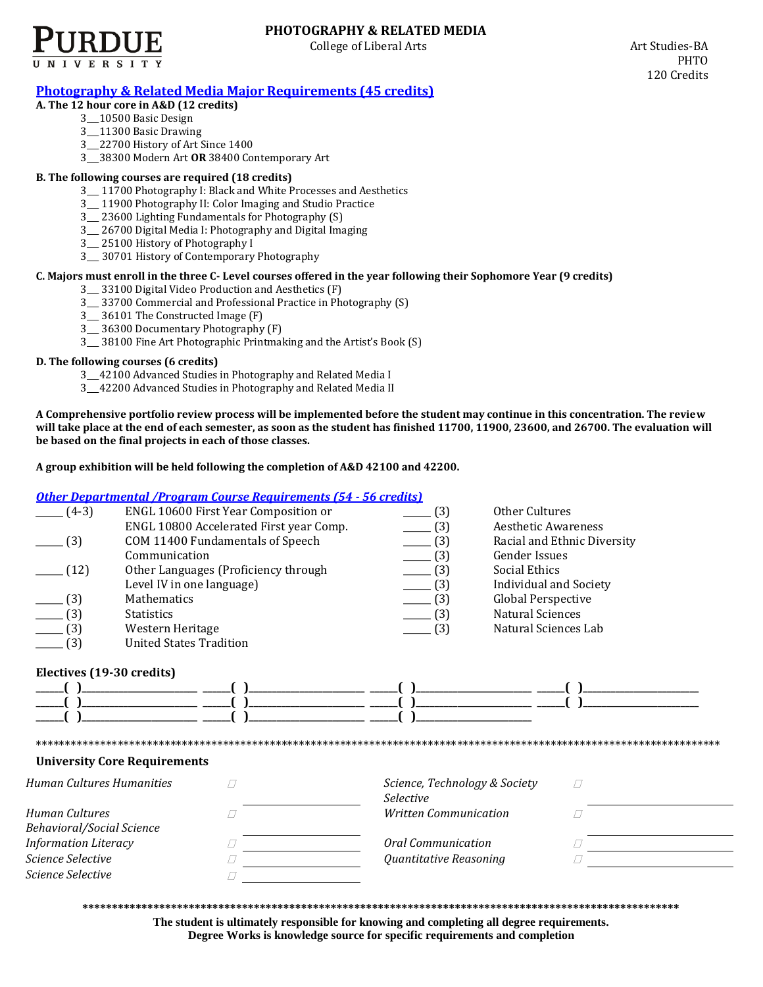

# **PHOTOGRAPHY & RELATED MEDIA**

College of Liberal Arts **Art Studies-BA** 

## **[Photography & Related Media Major Requirements](http://www.cla.purdue.edu/academics/programs/pos/PHTO201010.pdf) (45 credits)**

### **A. The 12 hour core in A&D (12 credits)**

- 3\_\_\_10500 Basic Design
- 3\_\_\_11300 Basic Drawing
- 3\_\_\_22700 History of Art Since 1400
- 3\_\_\_38300 Modern Art **OR** 38400 Contemporary Art

### **B. The following courses are required (18 credits)**

- 3\_\_\_ 11700 Photography I: Black and White Processes and Aesthetics
- 3\_\_\_ 11900 Photography II: Color Imaging and Studio Practice
- 3\_\_\_ 23600 Lighting Fundamentals for Photography (S)
- 3\_\_\_ 26700 Digital Media I: Photography and Digital Imaging
- 3\_\_\_ 25100 History of Photography I
- 3\_\_\_ 30701 History of Contemporary Photography

### **C. Majors must enroll in the three C- Level courses offered in the year following their Sophomore Year (9 credits)**

- 3\_\_\_ 33100 Digital Video Production and Aesthetics (F)
- 3\_\_\_ 33700 Commercial and Professional Practice in Photography (S)
- 3\_\_\_ 36101 The Constructed Image (F)
- 3\_\_\_ 36300 Documentary Photography (F)
- 3\_\_\_ 38100 Fine Art Photographic Printmaking and the Artist's Book (S)

#### **D. The following courses (6 credits)**

- 3\_\_\_42100 Advanced Studies in Photography and Related Media I
- 3\_\_\_42200 Advanced Studies in Photography and Related Media II

**A Comprehensive portfolio review process will be implemented before the student may continue in this concentration. The review will take place at the end of each semester, as soon as the student has finished 11700, 11900, 23600, and 26700. The evaluation will be based on the final projects in each of those classes.** 

**A group exhibition will be held following the completion of A&D 42100 and 42200.** 

### *[Other Departmental /Program Course Requirements \(54 -](http://www.cla.purdue.edu/academics/programs/pos/core201210v3.pdf) 56 credits)*

|                             | <u>отнег рерагинента 71 годи ангелизе кедин енглиз 194 - 90 сгейнзг</u> |                                                   |                               |
|-----------------------------|-------------------------------------------------------------------------|---------------------------------------------------|-------------------------------|
| $(4-3)$                     | ENGL 10600 First Year Composition or                                    | (3)                                               | Other Cultures                |
|                             | ENGL 10800 Accelerated First year Comp.                                 | (3)                                               | <b>Aesthetic Awareness</b>    |
| (3)                         | COM 11400 Fundamentals of Speech                                        | (3)                                               | Racial and Ethnic Diversity   |
|                             | Communication                                                           | (3)                                               | <b>Gender Issues</b>          |
| (12)                        | Other Languages (Proficiency through                                    | (3)                                               | Social Ethics                 |
|                             | Level IV in one language)                                               | (3)                                               | <b>Individual and Society</b> |
| (3)                         | <b>Mathematics</b>                                                      | (3)                                               | <b>Global Perspective</b>     |
| (3)                         | <b>Statistics</b>                                                       | (3)                                               | <b>Natural Sciences</b>       |
| (3)                         | Western Heritage                                                        | (3)                                               | Natural Sciences Lab          |
| (3)                         | <b>United States Tradition</b>                                          |                                                   |                               |
| Electives (19-30 credits)   | <b>University Core Requirements</b>                                     |                                                   |                               |
| Human Cultures Humanities   |                                                                         | Science, Technology & Society<br><b>Selective</b> | П                             |
| Human Cultures              |                                                                         | <b>Written Communication</b>                      |                               |
| Behavioral/Social Science   |                                                                         |                                                   |                               |
| <b>Information Literacy</b> |                                                                         | Oral Communication                                |                               |
| Science Selective           |                                                                         | Quantitative Reasoning                            |                               |
| Science Selective           |                                                                         |                                                   |                               |

**\*\*\*\*\*\*\*\*\*\*\*\*\*\*\*\*\*\*\*\*\*\*\*\*\*\*\*\*\*\*\*\*\*\*\*\*\*\*\*\*\*\*\*\*\*\*\*\*\*\*\*\*\*\*\*\*\*\*\*\*\*\*\*\*\*\*\*\*\*\*\*\*\*\*\*\*\*\*\*\*\*\*\*\*\*\*\*\*\*\*\*\*\*\*\*\*\*\*\*\*\***

**The student is ultimately responsible for knowing and completing all degree requirements. Degree Works is knowledge source for specific requirements and completion**